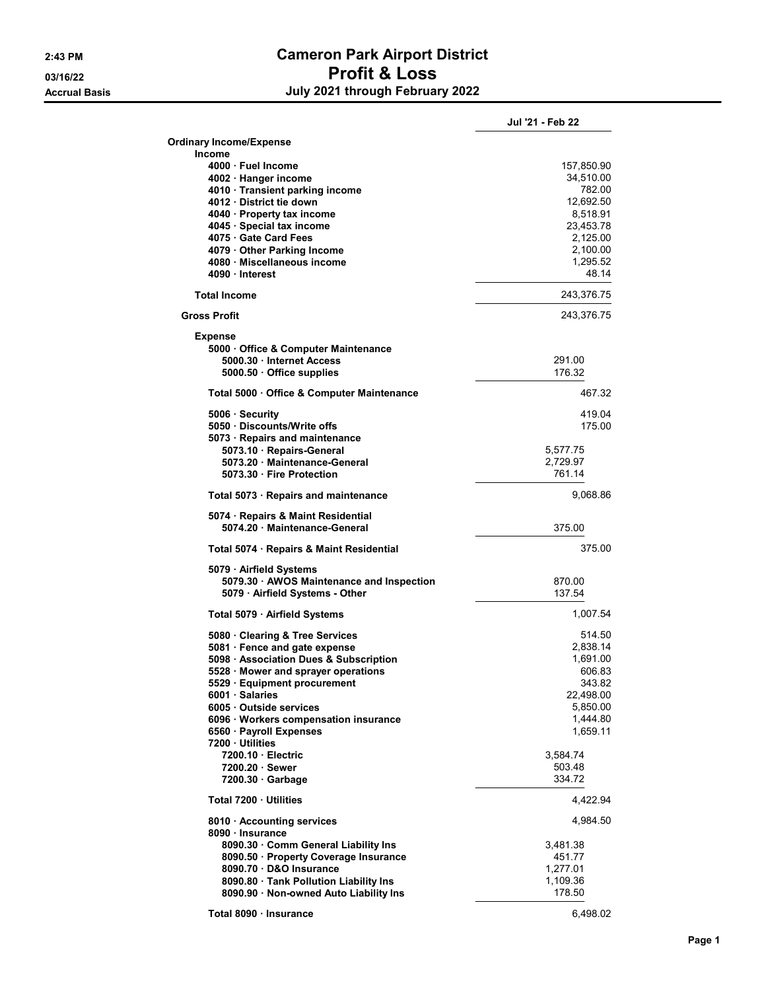## 2:43 PM Cameron Park Airport District 03/16/22 **Profit & Loss** Accrual Basis **Accrual Basis July 2021 through February 2022**

|                                                                             | Jul '21 - Feb 22        |
|-----------------------------------------------------------------------------|-------------------------|
| <b>Ordinary Income/Expense</b>                                              |                         |
| <b>Income</b><br>4000 · Fuel Income                                         |                         |
| 4002 · Hanger income                                                        | 157,850.90<br>34,510.00 |
| 4010 · Transient parking income                                             | 782.00                  |
| 4012 District tie down                                                      | 12,692.50               |
| 4040 · Property tax income<br>4045 · Special tax income                     | 8,518.91<br>23,453.78   |
| 4075 Gate Card Fees                                                         | 2,125.00                |
| 4079 Other Parking Income                                                   | 2,100.00                |
| 4080 · Miscellaneous income                                                 | 1,295.52<br>48.14       |
| 4090 Interest                                                               |                         |
| <b>Total Income</b>                                                         | 243,376.75              |
| <b>Gross Profit</b>                                                         | 243,376.75              |
| <b>Expense</b>                                                              |                         |
| 5000 Office & Computer Maintenance<br>5000.30 Internet Access               | 291.00                  |
| 5000.50 Office supplies                                                     | 176.32                  |
| Total 5000 · Office & Computer Maintenance                                  | 467.32                  |
| 5006 · Security                                                             | 419.04                  |
| 5050 Discounts/Write offs                                                   | 175.00                  |
| 5073 · Repairs and maintenance                                              |                         |
| 5073.10 Repairs-General<br>5073.20 Maintenance-General                      | 5,577.75<br>2,729.97    |
| 5073.30 Fire Protection                                                     | 761.14                  |
| Total 5073 · Repairs and maintenance                                        | 9,068.86                |
| 5074 · Repairs & Maint Residential                                          |                         |
| 5074.20 · Maintenance-General                                               | 375.00                  |
| Total 5074 · Repairs & Maint Residential                                    | 375.00                  |
| 5079 · Airfield Systems                                                     |                         |
| 5079.30 · AWOS Maintenance and Inspection                                   | 870.00                  |
| 5079 · Airfield Systems - Other                                             | 137.54                  |
| Total 5079 · Airfield Systems                                               | 1,007.54                |
| 5080 Clearing & Tree Services                                               | 514.50                  |
| 5081 · Fence and gate expense<br>5098 · Association Dues & Subscription     | 2,838.14<br>1,691.00    |
| 5528 · Mower and sprayer operations                                         | 606.83                  |
| 5529 · Equipment procurement                                                | 343.82                  |
| 6001 · Salaries<br>6005 Outside services                                    | 22,498.00<br>5,850.00   |
| 6096 · Workers compensation insurance                                       | 1,444.80                |
| 6560 · Payroll Expenses                                                     | 1,659.11                |
| 7200 · Utilities                                                            |                         |
| 7200.10 Electric<br>7200.20 Sewer                                           | 3,584.74<br>503.48      |
| $7200.30 \cdot$ Garbage                                                     | 334.72                  |
| Total 7200 · Utilities                                                      | 4,422.94                |
| 8010 · Accounting services                                                  | 4,984.50                |
| 8090 · Insurance                                                            |                         |
| 8090.30 Comm General Liability Ins<br>8090.50 · Property Coverage Insurance | 3,481.38<br>451.77      |
| 8090.70 D&O Insurance                                                       | 1,277.01                |
| 8090.80 Tank Pollution Liability Ins                                        | 1,109.36                |
| 8090.90 · Non-owned Auto Liability Ins                                      | 178.50                  |
| Total 8090 · Insurance                                                      | 6,498.02                |